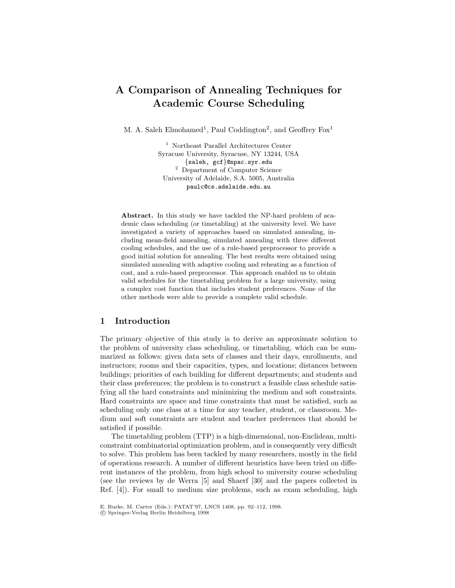# **A Comparison of Annealing Techniques for Academic Course Scheduling**

M. A. Saleh Elmohamed<sup>1</sup>, Paul Coddington<sup>2</sup>, and Geoffrey  $F\alpha x^1$ 

<sup>1</sup> Northeast Parallel Architectures Center Syracuse University, Syracuse, NY 13244, USA {saleh, gcf}@npac.syr.edu <sup>2</sup> Department of Computer Science University of Adelaide, S.A. 5005, Australia paulc@cs.adelaide.edu.au

**Abstract.** In this study we have tackled the NP-hard problem of academic class scheduling (or timetabling) at the university level. We have investigated a variety of approaches based on simulated annealing, including mean-field annealing, simulated annealing with three different cooling schedules, and the use of a rule-based preprocessor to provide a good initial solution for annealing. The best results were obtained using simulated annealing with adaptive cooling and reheating as a function of cost, and a rule-based preprocessor. This approach enabled us to obtain valid schedules for the timetabling problem for a large university, using a complex cost function that includes student preferences. None of the other methods were able to provide a complete valid schedule.

# **1 Introduction**

The primary objective of this study is to derive an approximate solution to the problem of university class scheduling, or timetabling, which can be summarized as follows: given data sets of classes and their days, enrollments, and instructors; rooms and their capacities, types, and locations; distances between buildings; priorities of each building for different departments; and students and their class preferences; the problem is to construct a feasible class schedule satisfying all the hard constraints and minimizing the medium and soft constraints. Hard constraints are space and time constraints that must be satisfied, such as scheduling only one class at a time for any teacher, student, or classroom. Medium and soft constraints are student and teacher preferences that should be satisfied if possible.

The timetabling problem (TTP) is a high-dimensional, non-Euclidean, multiconstraint combinatorial optimization problem, and is consequently very difficult to solve. This problem has been tackled by many researchers, mostly in the field of operations research. A number of different heuristics have been tried on different instances of the problem, from high school to university course scheduling (see the reviews by de Werra [5] and Shaerf [30] and the papers collected in Ref. [4]). For small to medium size problems, such as exam scheduling, high

c Springer-Verlag Berlin Heidelberg 1998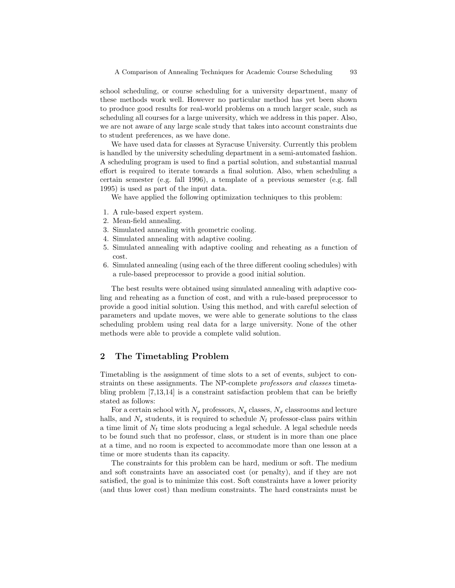school scheduling, or course scheduling for a university department, many of these methods work well. However no particular method has yet been shown to produce good results for real-world problems on a much larger scale, such as scheduling all courses for a large university, which we address in this paper. Also, we are not aware of any large scale study that takes into account constraints due to student preferences, as we have done.

We have used data for classes at Syracuse University. Currently this problem is handled by the university scheduling department in a semi-automated fashion. A scheduling program is used to find a partial solution, and substantial manual effort is required to iterate towards a final solution. Also, when scheduling a certain semester (e.g. fall 1996), a template of a previous semester (e.g. fall 1995) is used as part of the input data.

We have applied the following optimization techniques to this problem:

- 1. A rule-based expert system.
- 2. Mean-field annealing.
- 3. Simulated annealing with geometric cooling.
- 4. Simulated annealing with adaptive cooling.
- 5. Simulated annealing with adaptive cooling and reheating as a function of cost.
- 6. Simulated annealing (using each of the three different cooling schedules) with a rule-based preprocessor to provide a good initial solution.

The best results were obtained using simulated annealing with adaptive cooling and reheating as a function of cost, and with a rule-based preprocessor to provide a good initial solution. Using this method, and with careful selection of parameters and update moves, we were able to generate solutions to the class scheduling problem using real data for a large university. None of the other methods were able to provide a complete valid solution.

# **2 The Timetabling Problem**

Timetabling is the assignment of time slots to a set of events, subject to constraints on these assignments. The NP-complete *professors and classes* timetabling problem [7,13,14] is a constraint satisfaction problem that can be briefly stated as follows:

For a certain school with  $N_p$  professors,  $N_q$  classes,  $N_x$  classrooms and lecture halls, and  $N_s$  students, it is required to schedule  $N_l$  professor-class pairs within a time limit of  $N_t$  time slots producing a legal schedule. A legal schedule needs to be found such that no professor, class, or student is in more than one place at a time, and no room is expected to accommodate more than one lesson at a time or more students than its capacity.

The constraints for this problem can be hard, medium or soft. The medium and soft constraints have an associated cost (or penalty), and if they are not satisfied, the goal is to minimize this cost. Soft constraints have a lower priority (and thus lower cost) than medium constraints. The hard constraints must be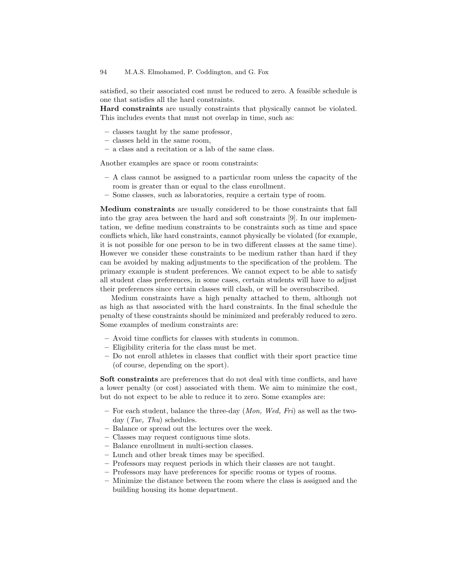satisfied, so their associated cost must be reduced to zero. A feasible schedule is one that satisfies all the hard constraints.

**Hard constraints** are usually constraints that physically cannot be violated. This includes events that must not overlap in time, such as:

- **–** classes taught by the same professor,
- **–** classes held in the same room,
- **–** a class and a recitation or a lab of the same class.

Another examples are space or room constraints:

- **–** A class cannot be assigned to a particular room unless the capacity of the room is greater than or equal to the class enrollment.
- **–** Some classes, such as laboratories, require a certain type of room.

**Medium constraints** are usually considered to be those constraints that fall into the gray area between the hard and soft constraints [9]. In our implementation, we define medium constraints to be constraints such as time and space conflicts which, like hard constraints, cannot physically be violated (for example, it is not possible for one person to be in two different classes at the same time). However we consider these constraints to be medium rather than hard if they can be avoided by making adjustments to the specification of the problem. The primary example is student preferences. We cannot expect to be able to satisfy all student class preferences, in some cases, certain students will have to adjust their preferences since certain classes will clash, or will be oversubscribed.

Medium constraints have a high penalty attached to them, although not as high as that associated with the hard constraints. In the final schedule the penalty of these constraints should be minimized and preferably reduced to zero. Some examples of medium constraints are:

- **–** Avoid time conflicts for classes with students in common.
- **–** Eligibility criteria for the class must be met.
- **–** Do not enroll athletes in classes that conflict with their sport practice time (of course, depending on the sport).

**Soft constraints** are preferences that do not deal with time conflicts, and have a lower penalty (or cost) associated with them. We aim to minimize the cost, but do not expect to be able to reduce it to zero. Some examples are:

- **–** For each student, balance the three-day (*Mon, Wed, Fri*) as well as the twoday (*Tue, Thu*) schedules.
- **–** Balance or spread out the lectures over the week.
- **–** Classes may request contiguous time slots.
- **–** Balance enrollment in multi-section classes.
- **–** Lunch and other break times may be specified.
- **–** Professors may request periods in which their classes are not taught.
- **–** Professors may have preferences for specific rooms or types of rooms.
- **–** Minimize the distance between the room where the class is assigned and the building housing its home department.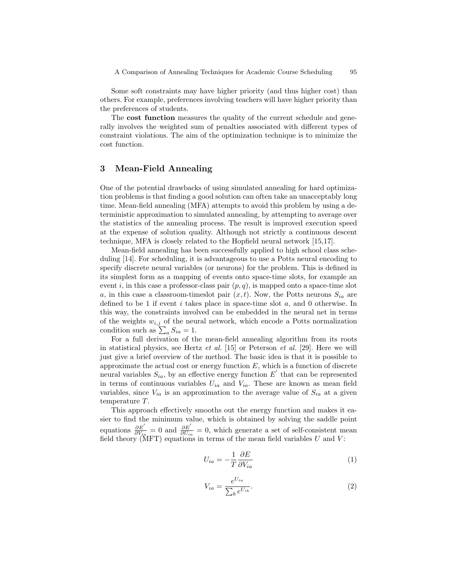Some soft constraints may have higher priority (and thus higher cost) than others. For example, preferences involving teachers will have higher priority than the preferences of students.

The **cost function** measures the quality of the current schedule and generally involves the weighted sum of penalties associated with different types of constraint violations. The aim of the optimization technique is to minimize the cost function.

### **3 Mean-Field Annealing**

One of the potential drawbacks of using simulated annealing for hard optimization problems is that finding a good solution can often take an unacceptably long time. Mean-field annealing (MFA) attempts to avoid this problem by using a deterministic approximation to simulated annealing, by attempting to average over the statistics of the annealing process. The result is improved execution speed at the expense of solution quality. Although not strictly a continuous descent technique, MFA is closely related to the Hopfield neural network [15,17].

Mean-field annealing has been successfully applied to high school class scheduling [14]. For scheduling, it is advantageous to use a Potts neural encoding to specify discrete neural variables (or neurons) for the problem. This is defined in its simplest form as a mapping of events onto space-time slots, for example an event i, in this case a professor-class pair  $(p, q)$ , is mapped onto a space-time slot a, in this case a classroom-timeslot pair  $(x, t)$ . Now, the Potts neurons  $S_{ia}$  are defined to be 1 if event  $i$  takes place in space-time slot  $a$ , and 0 otherwise. In this way, the constraints involved can be embedded in the neural net in terms of the weights  $w_{i,j}$  of the neural network, which encode a Potts normalization condition such as  $\sum_{a} S_{ia} = 1$ .

For a full derivation of the mean-field annealing algorithm from its roots in statistical physics, see Hertz *et al.* [15] or Peterson *et al.* [29]. Here we will just give a brief overview of the method. The basic idea is that it is possible to approximate the actual cost or energy function  $E$ , which is a function of discrete neural variables  $S_{ia}$ , by an effective energy function  $E'$  that can be represented in terms of continuous variables  $U_{ia}$  and  $V_{ia}$ . These are known as mean field variables, since  $V_{ia}$  is an approximation to the average value of  $S_{ia}$  at a given temperature T.

This approach effectively smooths out the energy function and makes it easier to find the minimum value, which is obtained by solving the saddle point equations  $\frac{\partial E'}{\partial V_{ia}} = 0$  and  $\frac{\partial E'}{\partial U_{ia}} = 0$ , which generate a set of self-consistent mean field theory (MFT) equations in terms of the mean field variables U and V:

$$
U_{ia} = -\frac{1}{T} \frac{\partial E}{\partial V_{ia}} \tag{1}
$$

$$
V_{ia} = \frac{e^{U_{ia}}}{\sum_b e^{U_{ib}}}.
$$
\n
$$
(2)
$$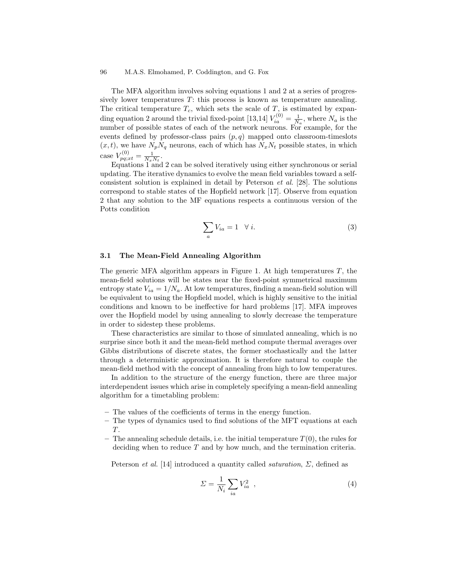The MFA algorithm involves solving equations 1 and 2 at a series of progressively lower temperatures T: this process is known as temperature annealing. The critical temperature  $T_c$ , which sets the scale of T, is estimated by expanding equation 2 around the trivial fixed-point [13,14]  $V_{ia}^{(0)} = \frac{1}{N_a}$ , where  $N_a$  is the number of possible states of each of the network neurons. For example, for the events defined by professor-class pairs  $(p, q)$  mapped onto classroom-timeslots  $(x, t)$ , we have  $N_pN_q$  neurons, each of which has  $N_xN_t$  possible states, in which  $\cose{V_{pq;xt}^{(0)}} = \frac{1}{N_x N_t}.$ 

Equations 1 and 2 can be solved iteratively using either synchronous or serial updating. The iterative dynamics to evolve the mean field variables toward a selfconsistent solution is explained in detail by Peterson *et al.* [28]. The solutions correspond to stable states of the Hopfield network [17]. Observe from equation 2 that any solution to the MF equations respects a continuous version of the Potts condition

$$
\sum_{a} V_{ia} = 1 \quad \forall \ i.
$$
 (3)

#### **3.1 The Mean-Field Annealing Algorithm**

The generic MFA algorithm appears in Figure 1. At high temperatures  $T$ , the mean-field solutions will be states near the fixed-point symmetrical maximum entropy state  $V_{ia} = 1/N_a$ . At low temperatures, finding a mean-field solution will be equivalent to using the Hopfield model, which is highly sensitive to the initial conditions and known to be ineffective for hard problems [17]. MFA improves over the Hopfield model by using annealing to slowly decrease the temperature in order to sidestep these problems.

These characteristics are similar to those of simulated annealing, which is no surprise since both it and the mean-field method compute thermal averages over Gibbs distributions of discrete states, the former stochastically and the latter through a deterministic approximation. It is therefore natural to couple the mean-field method with the concept of annealing from high to low temperatures.

In addition to the structure of the energy function, there are three major interdependent issues which arise in completely specifying a mean-field annealing algorithm for a timetabling problem:

- **–** The values of the coefficients of terms in the energy function.
- **–** The types of dynamics used to find solutions of the MFT equations at each T.
- **–** The annealing schedule details, i.e. the initial temperature T(0), the rules for deciding when to reduce  $T$  and by how much, and the termination criteria.

Peterson *et al.* [14] introduced a quantity called *saturation*, Σ, defined as

$$
\Sigma = \frac{1}{N_i} \sum_{ia} V_{ia}^2 \tag{4}
$$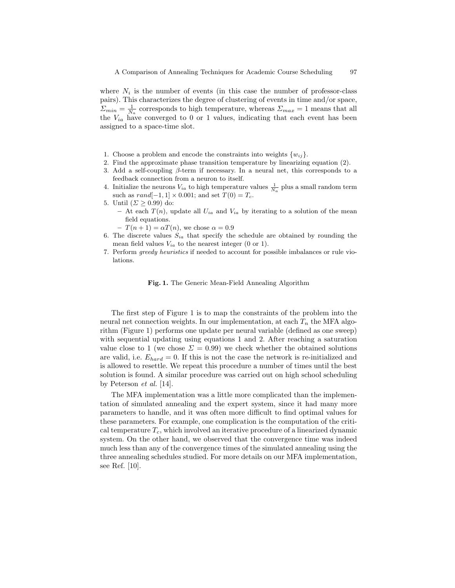where  $N_i$  is the number of events (in this case the number of professor-class pairs). This characterizes the degree of clustering of events in time and/or space,  $\Sigma_{min} = \frac{1}{N_a}$  corresponds to high temperature, whereas  $\Sigma_{max} = 1$  means that all the  $V_{ia}$  have converged to 0 or 1 values, indicating that each event has been assigned to a space-time slot.

- 1. Choose a problem and encode the constraints into weights  $\{w_{ij}\}.$
- 2. Find the approximate phase transition temperature by linearizing equation (2).
- 3. Add a self-coupling  $\beta$ -term if necessary. In a neural net, this corresponds to a feedback connection from a neuron to itself.
- 4. Initialize the neurons  $V_{ia}$  to high temperature values  $\frac{1}{N_a}$  plus a small random term such as  $rand[-1, 1] \times 0.001$ ; and set  $T(0) = T_c$ .
- 5. Until  $(\Sigma \geq 0.99)$  do:
	- $-$  At each  $T(n)$ , update all  $U_{ia}$  and  $V_{ia}$  by iterating to a solution of the mean field equations.
	- $-T(n+1) = \alpha T(n)$ , we chose  $\alpha = 0.9$
- 6. The discrete values  $S_{ia}$  that specify the schedule are obtained by rounding the mean field values  $V_{ia}$  to the nearest integer (0 or 1).
- 7. Perform greedy heuristics if needed to account for possible imbalances or rule violations.

**Fig. 1.** The Generic Mean-Field Annealing Algorithm

The first step of Figure 1 is to map the constraints of the problem into the neural net connection weights. In our implementation, at each  $T_n$  the MFA algorithm (Figure 1) performs one update per neural variable (defined as one sweep) with sequential updating using equations 1 and 2. After reaching a saturation value close to 1 (we chose  $\Sigma = 0.99$ ) we check whether the obtained solutions are valid, i.e.  $E_{hard} = 0$ . If this is not the case the network is re-initialized and is allowed to resettle. We repeat this procedure a number of times until the best solution is found. A similar procedure was carried out on high school scheduling by Peterson *et al.* [14].

The MFA implementation was a little more complicated than the implementation of simulated annealing and the expert system, since it had many more parameters to handle, and it was often more difficult to find optimal values for these parameters. For example, one complication is the computation of the critical temperature  $T_c$ , which involved an iterative procedure of a linearized dynamic system. On the other hand, we observed that the convergence time was indeed much less than any of the convergence times of the simulated annealing using the three annealing schedules studied. For more details on our MFA implementation, see Ref. [10].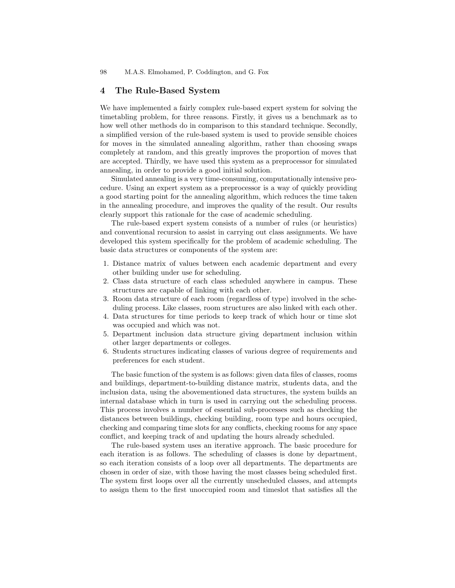# **4 The Rule-Based System**

We have implemented a fairly complex rule-based expert system for solving the timetabling problem, for three reasons. Firstly, it gives us a benchmark as to how well other methods do in comparison to this standard technique. Secondly, a simplified version of the rule-based system is used to provide sensible choices for moves in the simulated annealing algorithm, rather than choosing swaps completely at random, and this greatly improves the proportion of moves that are accepted. Thirdly, we have used this system as a preprocessor for simulated annealing, in order to provide a good initial solution.

Simulated annealing is a very time-consuming, computationally intensive procedure. Using an expert system as a preprocessor is a way of quickly providing a good starting point for the annealing algorithm, which reduces the time taken in the annealing procedure, and improves the quality of the result. Our results clearly support this rationale for the case of academic scheduling.

The rule-based expert system consists of a number of rules (or heuristics) and conventional recursion to assist in carrying out class assignments. We have developed this system specifically for the problem of academic scheduling. The basic data structures or components of the system are:

- 1. Distance matrix of values between each academic department and every other building under use for scheduling.
- 2. Class data structure of each class scheduled anywhere in campus. These structures are capable of linking with each other.
- 3. Room data structure of each room (regardless of type) involved in the scheduling process. Like classes, room structures are also linked with each other.
- 4. Data structures for time periods to keep track of which hour or time slot was occupied and which was not.
- 5. Department inclusion data structure giving department inclusion within other larger departments or colleges.
- 6. Students structures indicating classes of various degree of requirements and preferences for each student.

The basic function of the system is as follows: given data files of classes, rooms and buildings, department-to-building distance matrix, students data, and the inclusion data, using the abovementioned data structures, the system builds an internal database which in turn is used in carrying out the scheduling process. This process involves a number of essential sub-processes such as checking the distances between buildings, checking building, room type and hours occupied, checking and comparing time slots for any conflicts, checking rooms for any space conflict, and keeping track of and updating the hours already scheduled.

The rule-based system uses an iterative approach. The basic procedure for each iteration is as follows. The scheduling of classes is done by department, so each iteration consists of a loop over all departments. The departments are chosen in order of size, with those having the most classes being scheduled first. The system first loops over all the currently unscheduled classes, and attempts to assign them to the first unoccupied room and timeslot that satisfies all the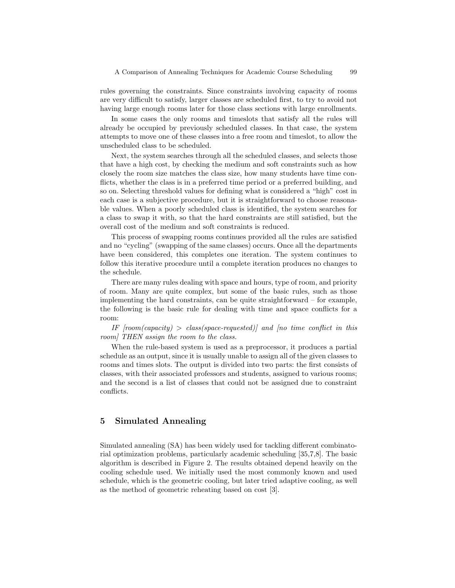rules governing the constraints. Since constraints involving capacity of rooms are very difficult to satisfy, larger classes are scheduled first, to try to avoid not having large enough rooms later for those class sections with large enrollments.

In some cases the only rooms and timeslots that satisfy all the rules will already be occupied by previously scheduled classes. In that case, the system attempts to move one of these classes into a free room and timeslot, to allow the unscheduled class to be scheduled.

Next, the system searches through all the scheduled classes, and selects those that have a high cost, by checking the medium and soft constraints such as how closely the room size matches the class size, how many students have time conflicts, whether the class is in a preferred time period or a preferred building, and so on. Selecting threshold values for defining what is considered a "high" cost in each case is a subjective procedure, but it is straightforward to choose reasonable values. When a poorly scheduled class is identified, the system searches for a class to swap it with, so that the hard constraints are still satisfied, but the overall cost of the medium and soft constraints is reduced.

This process of swapping rooms continues provided all the rules are satisfied and no "cycling" (swapping of the same classes) occurs. Once all the departments have been considered, this completes one iteration. The system continues to follow this iterative procedure until a complete iteration produces no changes to the schedule.

There are many rules dealing with space and hours, type of room, and priority of room. Many are quite complex, but some of the basic rules, such as those implementing the hard constraints, can be quite straightforward – for example, the following is the basic rule for dealing with time and space conflicts for a room:

*IF [room(capacity)* > *class(space-requested)] and [no time conflict in this room] THEN assign the room to the class.*

When the rule-based system is used as a preprocessor, it produces a partial schedule as an output, since it is usually unable to assign all of the given classes to rooms and times slots. The output is divided into two parts: the first consists of classes, with their associated professors and students, assigned to various rooms; and the second is a list of classes that could not be assigned due to constraint conflicts.

# **5 Simulated Annealing**

Simulated annealing (SA) has been widely used for tackling different combinatorial optimization problems, particularly academic scheduling [35,7,8]. The basic algorithm is described in Figure 2. The results obtained depend heavily on the cooling schedule used. We initially used the most commonly known and used schedule, which is the geometric cooling, but later tried adaptive cooling, as well as the method of geometric reheating based on cost [3].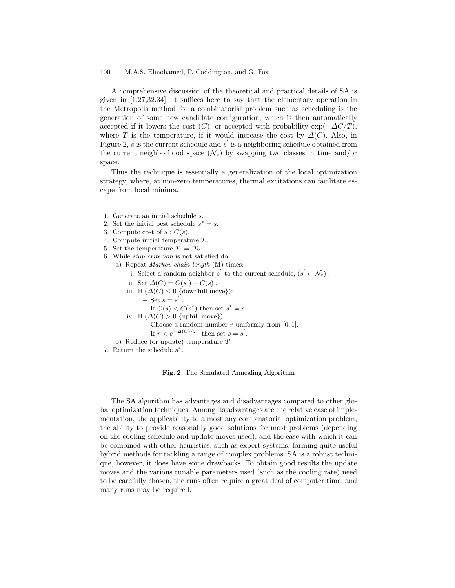A comprehensive discussion of the theoretical and practical details of SA is given in [1,27,32,34]. It suffices here to say that the elementary operation in the Metropolis method for a combinatorial problem such as scheduling is the generation of some new candidate configuration, which is then automatically accepted if it lowers the cost  $(C)$ , or accepted with probability  $\exp(-\Delta C/T)$ , where T is the temperature, if it would increase the cost by  $\Delta(C)$ . Also, in Figure 2,  $s$  is the current schedule and  $s'$  is a neighboring schedule obtained from the current neighborhood space  $(\mathcal{N}_s)$  by swapping two classes in time and/or space.

Thus the technique is essentially a generalization of the local optimization strategy, where, at non-zero temperatures, thermal excitations can facilitate escape from local minima.

- 1. Generate an initial schedule s.
- 2. Set the initial best schedule  $s^* = s$ .
- 3. Compute cost of  $s: C(s)$ .
- 4. Compute initial temperature  $T_0$ .
- 5. Set the temperature  $T = T_0$ .
- 6. While stop criterion is not satisfied do:
	- a) Repeat Markov chain length (M) times:
		- i. Select a random neighbor s' to the current schedule,  $(s' \subset \mathcal{N}_s)$ .
		- ii. Set  $\Delta(C) = C(s') C(s)$ .
		- iii. If  $(\Delta(C) \leq 0$  {downhill move}):
			- $-$  Set  $s = s'$ .<br>  $-$  If  $C(s) < 0$

- If 
$$
C(s) < C(s^*)
$$
 then set  $s^* = s$ .  
iv. If  $(\Delta(C) > 0 \text{ {uphill move}})$ :

- $-$  Choose a random number r uniformly from [0, 1].
- $-$  If  $r < e^{-\Delta(C)/T}$  then set  $s = s'$ .
- b) Reduce (or update) temperature T.
- 7. Return the schedule  $s^*$ .

**Fig. 2.** The Simulated Annealing Algorithm

The SA algorithm has advantages and disadvantages compared to other global optimization techniques. Among its advantages are the relative ease of implementation, the applicability to almost any combinatorial optimization problem, the ability to provide reasonably good solutions for most problems (depending on the cooling schedule and update moves used), and the ease with which it can be combined with other heuristics, such as expert systems, forming quite useful hybrid methods for tackling a range of complex problems. SA is a robust technique, however, it does have some drawbacks. To obtain good results the update moves and the various tunable parameters used (such as the cooling rate) need to be carefully chosen, the runs often require a great deal of computer time, and many runs may be required.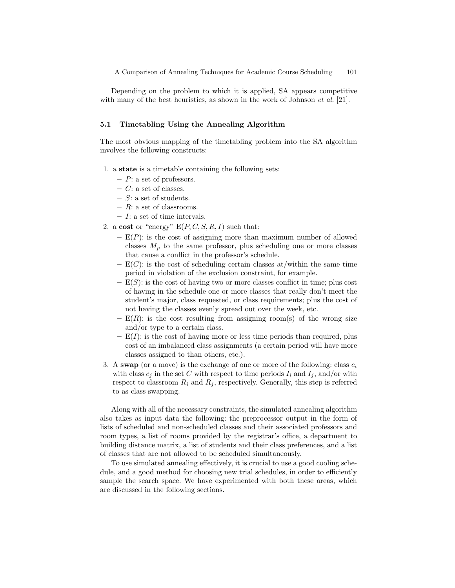Depending on the problem to which it is applied, SA appears competitive with many of the best heuristics, as shown in the work of Johnson *et al.* [21].

#### **5.1 Timetabling Using the Annealing Algorithm**

The most obvious mapping of the timetabling problem into the SA algorithm involves the following constructs:

- 1. a **state** is a timetable containing the following sets:
	- **–** P: a set of professors.
	- **–** C: a set of classes.
	- **–** S: a set of students.
	- **–** R: a set of classrooms.
	- **–** I: a set of time intervals.
- 2. a **cost** or "energy"  $E(P, C, S, R, I)$  such that:
	- **–** E(P): is the cost of assigning more than maximum number of allowed classes  $M_p$  to the same professor, plus scheduling one or more classes that cause a conflict in the professor's schedule.
	- $-$  E(C): is the cost of scheduling certain classes at/within the same time period in violation of the exclusion constraint, for example.
	- $E(S)$ : is the cost of having two or more classes conflict in time; plus cost of having in the schedule one or more classes that really don't meet the student's major, class requested, or class requirements; plus the cost of not having the classes evenly spread out over the week, etc.
	- $E(R)$ : is the cost resulting from assigning room(s) of the wrong size and/or type to a certain class.
	- $E(I)$ : is the cost of having more or less time periods than required, plus cost of an imbalanced class assignments (a certain period will have more classes assigned to than others, etc.).
- 3. A **swap** (or a move) is the exchange of one or more of the following: class  $c_i$ with class  $c_j$  in the set C with respect to time periods  $I_i$  and  $I_j$ , and/or with respect to classroom  $R_i$  and  $R_j$ , respectively. Generally, this step is referred to as class swapping.

Along with all of the necessary constraints, the simulated annealing algorithm also takes as input data the following: the preprocessor output in the form of lists of scheduled and non-scheduled classes and their associated professors and room types, a list of rooms provided by the registrar's office, a department to building distance matrix, a list of students and their class preferences, and a list of classes that are not allowed to be scheduled simultaneously.

To use simulated annealing effectively, it is crucial to use a good cooling schedule, and a good method for choosing new trial schedules, in order to efficiently sample the search space. We have experimented with both these areas, which are discussed in the following sections.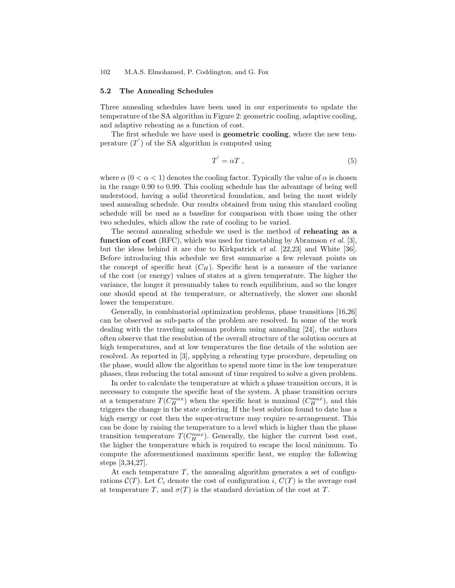#### **5.2 The Annealing Schedules**

Three annealing schedules have been used in our experiments to update the temperature of the SA algorithm in Figure 2: geometric cooling, adaptive cooling, and adaptive reheating as a function of cost.

The first schedule we have used is **geometric cooling**, where the new temperature  $(T')$  of the SA algorithm is computed using

$$
T^{'} = \alpha T \tag{5}
$$

where  $\alpha$  ( $0 < \alpha < 1$ ) denotes the cooling factor. Typically the value of  $\alpha$  is chosen in the range 0.90 to 0.99. This cooling schedule has the advantage of being well understood, having a solid theoretical foundation, and being the most widely used annealing schedule. Our results obtained from using this standard cooling schedule will be used as a baseline for comparison with those using the other two schedules, which allow the rate of cooling to be varied.

The second annealing schedule we used is the method of **reheating as a function of cost** (RFC), which was used for timetabling by Abramson *et al.* [3], but the ideas behind it are due to Kirkpatrick *et al.* [22,23] and White [36]. Before introducing this schedule we first summarize a few relevant points on the concept of specific heat  $(C_H)$ . Specific heat is a measure of the variance of the cost (or energy) values of states at a given temperature. The higher the variance, the longer it presumably takes to reach equilibrium, and so the longer one should spend at the temperature, or alternatively, the slower one should lower the temperature.

Generally, in combinatorial optimization problems, phase transitions [16,26] can be observed as sub-parts of the problem are resolved. In some of the work dealing with the traveling salesman problem using annealing [24], the authors often observe that the resolution of the overall structure of the solution occurs at high temperatures, and at low temperatures the fine details of the solution are resolved. As reported in [3], applying a reheating type procedure, depending on the phase, would allow the algorithm to spend more time in the low temperature phases, thus reducing the total amount of time required to solve a given problem.

In order to calculate the temperature at which a phase transition occurs, it is necessary to compute the specific heat of the system. A phase transition occurs at a temperature  $T(C_H^{max})$  when the specific heat is maximal  $(C_H^{max})$ , and this triggers the change in the state ordering. If the best solution found to date has a high energy or cost then the super-structure may require re-arrangement. This can be done by raising the temperature to a level which is higher than the phase transition temperature  $T(C_H^{max})$ . Generally, the higher the current best cost, the higher the temperature which is required to escape the local minimum. To compute the aforementioned maximum specific heat, we employ the following steps [3,34,27].

At each temperature  $T$ , the annealing algorithm generates a set of configurations  $\mathcal{C}(T)$ . Let  $C_i$  denote the cost of configuration i,  $C(T)$  is the average cost at temperature T, and  $\sigma(T)$  is the standard deviation of the cost at T.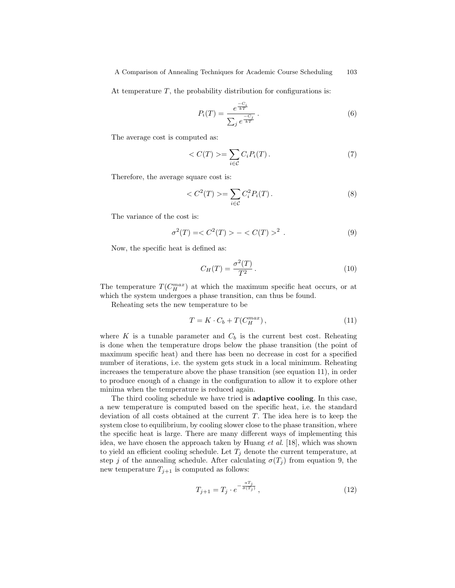A Comparison of Annealing Techniques for Academic Course Scheduling 103

At temperature  $T$ , the probability distribution for configurations is:

$$
P_i(T) = \frac{e^{\frac{-C_i}{kT}}}{\sum_j e^{\frac{-C_j}{kT}}}.
$$
\n(6)

The average cost is computed as:

$$
\langle C(T) \rangle = \sum_{i \in \mathcal{C}} C_i P_i(T). \tag{7}
$$

Therefore, the average square cost is:

$$
\langle C^2(T) \rangle = \sum_{i \in \mathcal{C}} C_i^2 P_i(T). \tag{8}
$$

The variance of the cost is:

$$
\sigma^2(T) = \langle C^2(T) \rangle - \langle C(T) \rangle^2 . \tag{9}
$$

Now, the specific heat is defined as:

$$
C_H(T) = \frac{\sigma^2(T)}{T^2}.
$$
\n
$$
(10)
$$

The temperature  $T(C_H^{max})$  at which the maximum specific heat occurs, or at which the system undergoes a phase transition, can thus be found.

Reheating sets the new temperature to be

$$
T = K \cdot C_b + T(C_H^{max}), \qquad (11)
$$

where K is a tunable parameter and  $C_b$  is the current best cost. Reheating is done when the temperature drops below the phase transition (the point of maximum specific heat) and there has been no decrease in cost for a specified number of iterations, i.e. the system gets stuck in a local minimum. Reheating increases the temperature above the phase transition (see equation 11), in order to produce enough of a change in the configuration to allow it to explore other minima when the temperature is reduced again.

The third cooling schedule we have tried is **adaptive cooling**. In this case, a new temperature is computed based on the specific heat, i.e. the standard deviation of all costs obtained at the current T. The idea here is to keep the system close to equilibrium, by cooling slower close to the phase transition, where the specific heat is large. There are many different ways of implementing this idea, we have chosen the approach taken by Huang *et al.* [18], which was shown to yield an efficient cooling schedule. Let  $T_i$  denote the current temperature, at step j of the annealing schedule. After calculating  $\sigma(T_i)$  from equation 9, the new temperature  $T_{i+1}$  is computed as follows:

$$
T_{j+1} = T_j \cdot e^{-\frac{aT_j}{\bar{\sigma}(T_j)}},\tag{12}
$$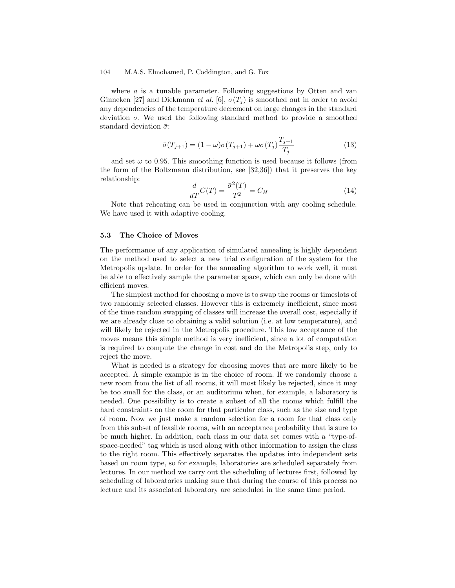where a is a tunable parameter. Following suggestions by Otten and van Ginneken [27] and Diekmann *et al.* [6],  $\sigma(T_i)$  is smoothed out in order to avoid any dependencies of the temperature decrement on large changes in the standard deviation  $\sigma$ . We used the following standard method to provide a smoothed standard deviation  $\bar{\sigma}$ :

$$
\bar{\sigma}(T_{j+1}) = (1 - \omega)\sigma(T_{j+1}) + \omega\sigma(T_j)\frac{T_{j+1}}{T_j}
$$
\n(13)

and set  $\omega$  to 0.95. This smoothing function is used because it follows (from the form of the Boltzmann distribution, see [32,36]) that it preserves the key relationship:

$$
\frac{d}{dT}C(T) = \frac{\bar{\sigma}^2(T)}{T^2} = C_H \tag{14}
$$

Note that reheating can be used in conjunction with any cooling schedule. We have used it with adaptive cooling.

#### **5.3 The Choice of Moves**

The performance of any application of simulated annealing is highly dependent on the method used to select a new trial configuration of the system for the Metropolis update. In order for the annealing algorithm to work well, it must be able to effectively sample the parameter space, which can only be done with efficient moves.

The simplest method for choosing a move is to swap the rooms or timeslots of two randomly selected classes. However this is extremely inefficient, since most of the time random swapping of classes will increase the overall cost, especially if we are already close to obtaining a valid solution (i.e. at low temperature), and will likely be rejected in the Metropolis procedure. This low acceptance of the moves means this simple method is very inefficient, since a lot of computation is required to compute the change in cost and do the Metropolis step, only to reject the move.

What is needed is a strategy for choosing moves that are more likely to be accepted. A simple example is in the choice of room. If we randomly choose a new room from the list of all rooms, it will most likely be rejected, since it may be too small for the class, or an auditorium when, for example, a laboratory is needed. One possibility is to create a subset of all the rooms which fulfill the hard constraints on the room for that particular class, such as the size and type of room. Now we just make a random selection for a room for that class only from this subset of feasible rooms, with an acceptance probability that is sure to be much higher. In addition, each class in our data set comes with a "type-ofspace-needed" tag which is used along with other information to assign the class to the right room. This effectively separates the updates into independent sets based on room type, so for example, laboratories are scheduled separately from lectures. In our method we carry out the scheduling of lectures first, followed by scheduling of laboratories making sure that during the course of this process no lecture and its associated laboratory are scheduled in the same time period.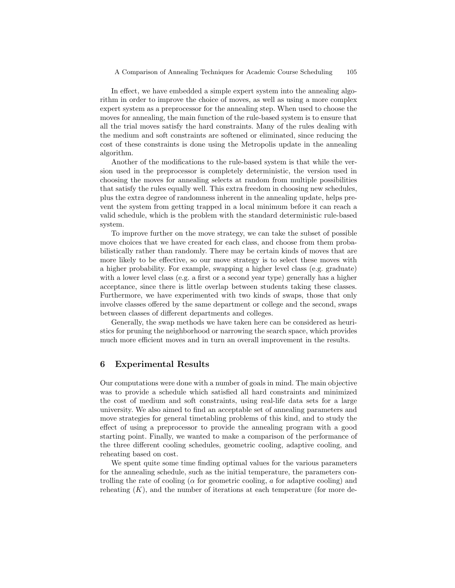In effect, we have embedded a simple expert system into the annealing algorithm in order to improve the choice of moves, as well as using a more complex expert system as a preprocessor for the annealing step. When used to choose the moves for annealing, the main function of the rule-based system is to ensure that all the trial moves satisfy the hard constraints. Many of the rules dealing with the medium and soft constraints are softened or eliminated, since reducing the cost of these constraints is done using the Metropolis update in the annealing algorithm.

Another of the modifications to the rule-based system is that while the version used in the preprocessor is completely deterministic, the version used in choosing the moves for annealing selects at random from multiple possibilities that satisfy the rules equally well. This extra freedom in choosing new schedules, plus the extra degree of randomness inherent in the annealing update, helps prevent the system from getting trapped in a local minimum before it can reach a valid schedule, which is the problem with the standard deterministic rule-based system.

To improve further on the move strategy, we can take the subset of possible move choices that we have created for each class, and choose from them probabilistically rather than randomly. There may be certain kinds of moves that are more likely to be effective, so our move strategy is to select these moves with a higher probability. For example, swapping a higher level class (e.g. graduate) with a lower level class (e.g. a first or a second year type) generally has a higher acceptance, since there is little overlap between students taking these classes. Furthermore, we have experimented with two kinds of swaps, those that only involve classes offered by the same department or college and the second, swaps between classes of different departments and colleges.

Generally, the swap methods we have taken here can be considered as heuristics for pruning the neighborhood or narrowing the search space, which provides much more efficient moves and in turn an overall improvement in the results.

### **6 Experimental Results**

Our computations were done with a number of goals in mind. The main objective was to provide a schedule which satisfied all hard constraints and minimized the cost of medium and soft constraints, using real-life data sets for a large university. We also aimed to find an acceptable set of annealing parameters and move strategies for general timetabling problems of this kind, and to study the effect of using a preprocessor to provide the annealing program with a good starting point. Finally, we wanted to make a comparison of the performance of the three different cooling schedules, geometric cooling, adaptive cooling, and reheating based on cost.

We spent quite some time finding optimal values for the various parameters for the annealing schedule, such as the initial temperature, the parameters controlling the rate of cooling ( $\alpha$  for geometric cooling,  $\alpha$  for adaptive cooling) and reheating  $(K)$ , and the number of iterations at each temperature (for more de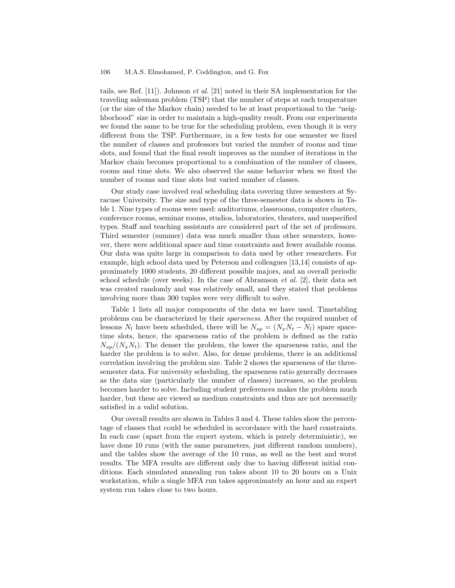tails, see Ref. [11]). Johnson *et al.* [21] noted in their SA implementation for the traveling salesman problem (TSP) that the number of steps at each temperature (or the size of the Markov chain) needed to be at least proportional to the "neighborhood" size in order to maintain a high-quality result. From our experiments we found the same to be true for the scheduling problem, even though it is very different from the TSP. Furthermore, in a few tests for one semester we fixed the number of classes and professors but varied the number of rooms and time slots, and found that the final result improves as the number of iterations in the Markov chain becomes proportional to a combination of the number of classes, rooms and time slots. We also observed the same behavior when we fixed the number of rooms and time slots but varied number of classes.

Our study case involved real scheduling data covering three semesters at Syracuse University. The size and type of the three-semester data is shown in Table 1. Nine types of rooms were used: auditoriums, classrooms, computer clusters, conference rooms, seminar rooms, studios, laboratories, theaters, and unspecified types. Staff and teaching assistants are considered part of the set of professors. Third semester (summer) data was much smaller than other semesters, however, there were additional space and time constraints and fewer available rooms. Our data was quite large in comparison to data used by other researchers. For example, high school data used by Peterson and colleagues [13,14] consists of approximately 1000 students, 20 different possible majors, and an overall periodic school schedule (over weeks). In the case of Abramson *et al.* [2], their data set was created randomly and was relatively small, and they stated that problems involving more than 300 tuples were very difficult to solve.

Table 1 lists all major components of the data we have used. Timetabling problems can be characterized by their *sparseness*. After the required number of lessons  $N_l$  have been scheduled, there will be  $N_{sp} = (N_x N_t - N_l)$  spare spacetime slots, hence, the sparseness ratio of the problem is defined as the ratio  $N_{sn}/(N_{x}N_{t})$ . The denser the problem, the lower the sparseness ratio, and the harder the problem is to solve. Also, for dense problems, there is an additional correlation involving the problem size. Table 2 shows the sparseness of the threesemester data. For university scheduling, the sparseness ratio generally decreases as the data size (particularly the number of classes) increases, so the problem becomes harder to solve. Including student preferences makes the problem much harder, but these are viewed as medium constraints and thus are not necessarily satisfied in a valid solution.

Our overall results are shown in Tables 3 and 4. These tables show the percentage of classes that could be scheduled in accordance with the hard constraints. In each case (apart from the expert system, which is purely deterministic), we have done 10 runs (with the same parameters, just different random numbers), and the tables show the average of the 10 runs, as well as the best and worst results. The MFA results are different only due to having different initial conditions. Each simulated annealing run takes about 10 to 20 hours on a Unix workstation, while a single MFA run takes approximately an hour and an expert system run takes close to two hours.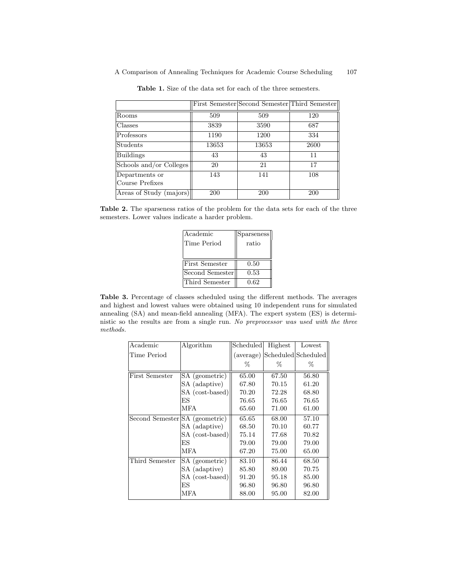|                                   |       | First Semester Second Semester Third Semester |      |
|-----------------------------------|-------|-----------------------------------------------|------|
| Rooms                             | 509   | 509                                           | 120  |
| Classes                           | 3839  | 3590                                          | 687  |
| Professors                        | 1190  | 1200                                          | 334  |
| Students                          | 13653 | 13653                                         | 2600 |
| <b>Buildings</b>                  | 43    | 43                                            | 11   |
| Schools and/or Colleges           | 20    | 21                                            | 17   |
| Departments or<br>Course Prefixes | 143   | 141                                           | 108  |
| Areas of Study (majors)           | 200   | 200                                           | 200  |

**Table 1.** Size of the data set for each of the three semesters.

**Table 2.** The sparseness ratios of the problem for the data sets for each of the three semesters. Lower values indicate a harder problem.

| Academic        | Sparseness |  |  |
|-----------------|------------|--|--|
| Time Period     | ratio      |  |  |
|                 |            |  |  |
| First Semester  | 0.50       |  |  |
| Second Semester | 0.53       |  |  |
| Third Semester  | 0.62       |  |  |

**Table 3.** Percentage of classes scheduled using the different methods. The averages and highest and lowest values were obtained using 10 independent runs for simulated annealing (SA) and mean-field annealing (MFA). The expert system (ES) is deterministic so the results are from a single run. No preprocessor was used with the three methods.

| Academic                       | Algorithm       | Scheduled | Highest | Lowest              |
|--------------------------------|-----------------|-----------|---------|---------------------|
| Time Period                    |                 | (average) |         | Scheduled Scheduled |
|                                |                 | %         | Z       | %                   |
| First Semester                 | SA (geometric)  | 65.00     | 67.50   | 56.80               |
|                                | SA (adaptive)   | 67.80     | 70.15   | 61.20               |
|                                | SA (cost-based) | 70.20     | 72.28   | 68.80               |
|                                | ΕS              | 76.65     | 76.65   | 76.65               |
|                                | MFA             | 65.60     | 71.00   | 61.00               |
| Second Semester SA (geometric) |                 | 65.65     | 68.00   | 57.10               |
|                                | SA (adaptive)   | 68.50     | 70.10   | 60.77               |
|                                | SA (cost-based) | 75.14     | 77.68   | 70.82               |
|                                | ΕS              | 79.00     | 79.00   | 79.00               |
|                                | MFA             | 67.20     | 75.00   | 65.00               |
| Third Semester                 | SA (geometric)  | 83.10     | 86.44   | 68.50               |
|                                | SA (adaptive)   | 85.80     | 89.00   | 70.75               |
|                                | SA (cost-based) | 91.20     | 95.18   | 85.00               |
|                                | ΕS              | 96.80     | 96.80   | 96.80               |
|                                | MFA             | 88.00     | 95.00   | 82.00               |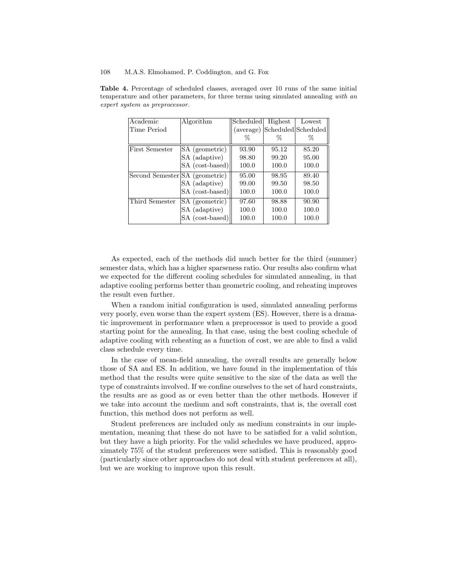| Academic                       | Algorithm       | Scheduled | Highest | Lowest              |
|--------------------------------|-----------------|-----------|---------|---------------------|
| Time Period                    |                 | (average) |         | Scheduled Scheduled |
|                                |                 | %         | %       | %                   |
| <b>First Semester</b>          | SA (geometric)  | 93.90     | 95.12   | 85.20               |
|                                | SA (adaptive)   | 98.80     | 99.20   | 95.00               |
|                                | SA (cost-based) | 100.0     | 100.0   | 100.0               |
| Second Semester SA (geometric) |                 | 95.00     | 98.95   | 89.40               |
|                                | SA (adaptive)   | 99.00     | 99.50   | 98.50               |
|                                | SA (cost-based) | 100.0     | 100.0   | 100.0               |
| Third Semester                 | SA (geometric)  | 97.60     | 98.88   | 90.90               |
|                                | SA (adaptive)   | 100.0     | 100.0   | 100.0               |
|                                | SA (cost-based) | 100.0     | 100.0   | 100.0               |

**Table 4.** Percentage of scheduled classes, averaged over 10 runs of the same initial temperature and other parameters, for three terms using simulated annealing with an expert system as preprocessor.

As expected, each of the methods did much better for the third (summer) semester data, which has a higher sparseness ratio. Our results also confirm what we expected for the different cooling schedules for simulated annealing, in that adaptive cooling performs better than geometric cooling, and reheating improves the result even further.

When a random initial configuration is used, simulated annealing performs very poorly, even worse than the expert system (ES). However, there is a dramatic improvement in performance when a preprocessor is used to provide a good starting point for the annealing. In that case, using the best cooling schedule of adaptive cooling with reheating as a function of cost, we are able to find a valid class schedule every time.

In the case of mean-field annealing, the overall results are generally below those of SA and ES. In addition, we have found in the implementation of this method that the results were quite sensitive to the size of the data as well the type of constraints involved. If we confine ourselves to the set of hard constraints, the results are as good as or even better than the other methods. However if we take into account the medium and soft constraints, that is, the overall cost function, this method does not perform as well.

Student preferences are included only as medium constraints in our implementation, meaning that these do not have to be satisfied for a valid solution, but they have a high priority. For the valid schedules we have produced, approximately 75% of the student preferences were satisfied. This is reasonably good (particularly since other approaches do not deal with student preferences at all), but we are working to improve upon this result.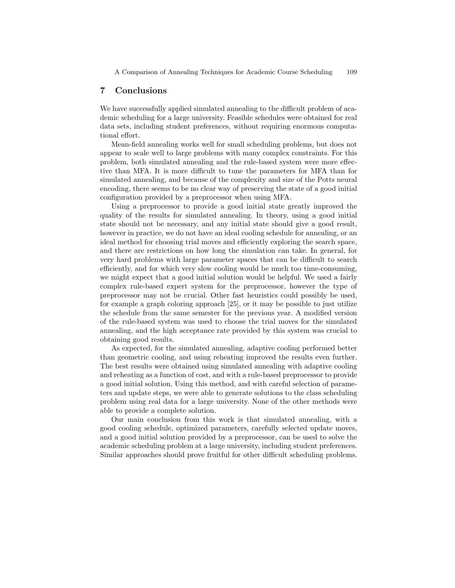### **7 Conclusions**

We have successfully applied simulated annealing to the difficult problem of academic scheduling for a large university. Feasible schedules were obtained for real data sets, including student preferences, without requiring enormous computational effort.

Mean-field annealing works well for small scheduling problems, but does not appear to scale well to large problems with many complex constraints. For this problem, both simulated annealing and the rule-based system were more effective than MFA. It is more difficult to tune the parameters for MFA than for simulated annealing, and because of the complexity and size of the Potts neural encoding, there seems to be no clear way of preserving the state of a good initial configuration provided by a preprocessor when using MFA.

Using a preprocessor to provide a good initial state greatly improved the quality of the results for simulated annealing. In theory, using a good initial state should not be necessary, and any initial state should give a good result, however in practice, we do not have an ideal cooling schedule for annealing, or an ideal method for choosing trial moves and efficiently exploring the search space, and there are restrictions on how long the simulation can take. In general, for very hard problems with large parameter spaces that can be difficult to search efficiently, and for which very slow cooling would be much too time-consuming, we might expect that a good initial solution would be helpful. We used a fairly complex rule-based expert system for the preprocessor, however the type of preprocessor may not be crucial. Other fast heuristics could possibly be used, for example a graph coloring approach [25], or it may be possible to just utilize the schedule from the same semester for the previous year. A modified version of the rule-based system was used to choose the trial moves for the simulated annealing, and the high acceptance rate provided by this system was crucial to obtaining good results.

As expected, for the simulated annealing, adaptive cooling performed better than geometric cooling, and using reheating improved the results even further. The best results were obtained using simulated annealing with adaptive cooling and reheating as a function of cost, and with a rule-based preprocessor to provide a good initial solution. Using this method, and with careful selection of parameters and update steps, we were able to generate solutions to the class scheduling problem using real data for a large university. None of the other methods were able to provide a complete solution.

Our main conclusion from this work is that simulated annealing, with a good cooling schedule, optimized parameters, carefully selected update moves, and a good initial solution provided by a preprocessor, can be used to solve the academic scheduling problem at a large university, including student preferences. Similar approaches should prove fruitful for other difficult scheduling problems.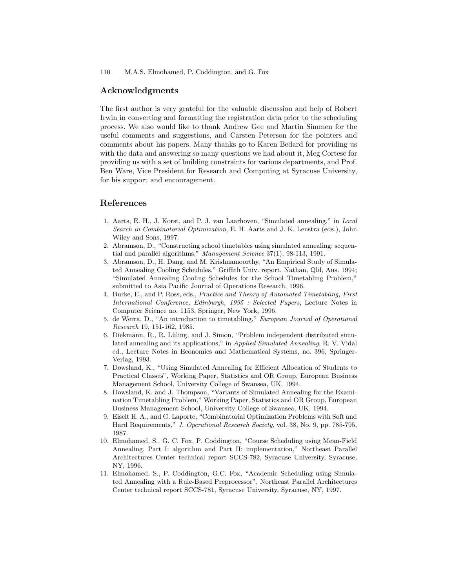# **Acknowledgments**

The first author is very grateful for the valuable discussion and help of Robert Irwin in converting and formatting the registration data prior to the scheduling process. We also would like to thank Andrew Gee and Martin Simmen for the useful comments and suggestions, and Carsten Peterson for the pointers and comments about his papers. Many thanks go to Karen Bedard for providing us with the data and answering so many questions we had about it, Meg Cortese for providing us with a set of building constraints for various departments, and Prof. Ben Ware, Vice President for Research and Computing at Syracuse University, for his support and encouragement.

# **References**

- 1. Aarts, E. H., J. Korst, and P. J. van Laarhoven, "Simulated annealing," in Local Search in Combinatorial Optimization, E. H. Aarts and J. K. Lenstra (eds.), John Wiley and Sons, 1997.
- 2. Abramson, D., "Constructing school timetables using simulated annealing: sequential and parallel algorithms," Management Science 37(1), 98-113, 1991.
- 3. Abramson, D., H. Dang, and M. Krishnamoorthy, "An Empirical Study of Simulated Annealing Cooling Schedules," Griffith Univ. report, Nathan, Qld, Aus. 1994; "Simulated Annealing Cooling Schedules for the School Timetabling Problem," submitted to Asia Pacific Journal of Operations Research, 1996.
- 4. Burke, E., and P. Ross, eds., Practice and Theory of Automated Timetabling, First International Conference, Edinburgh, 1995 : Selected Papers, Lecture Notes in Computer Science no. 1153, Springer, New York, 1996.
- 5. de Werra, D., "An introduction to timetabling," European Journal of Operational Research 19, 151-162, 1985.
- 6. Diekmann, R., R. Lüling, and J. Simon, "Problem independent distributed simulated annealing and its applications," in Applied Simulated Annealing, R. V. Vidal ed., Lecture Notes in Economics and Mathematical Systems, no. 396, Springer-Verlag, 1993.
- 7. Dowsland, K., "Using Simulated Annealing for Efficient Allocation of Students to Practical Classes", Working Paper, Statistics and OR Group, European Business Management School, University College of Swansea, UK, 1994.
- 8. Dowsland, K. and J. Thompson, "Variants of Simulated Annealing for the Examination Timetabling Problem," Working Paper, Statistics and OR Group, European Business Management School, University College of Swansea, UK, 1994.
- 9. Eiselt H. A., and G. Laporte, "Combinatorial Optimization Problems with Soft and Hard Requirements," J. Operational Research Society, vol. 38, No. 9, pp. 785-795, 1987.
- 10. Elmohamed, S., G. C. Fox, P. Coddington, "Course Scheduling using Mean-Field Annealing, Part I: algorithm and Part II: implementation," Northeast Parallel Architectures Center technical report SCCS-782, Syracuse University, Syracuse, NY, 1996.
- 11. Elmohamed, S., P. Coddington, G.C. Fox, "Academic Scheduling using Simulated Annealing with a Rule-Based Preprocessor", Northeast Parallel Architectures Center technical report SCCS-781, Syracuse University, Syracuse, NY, 1997.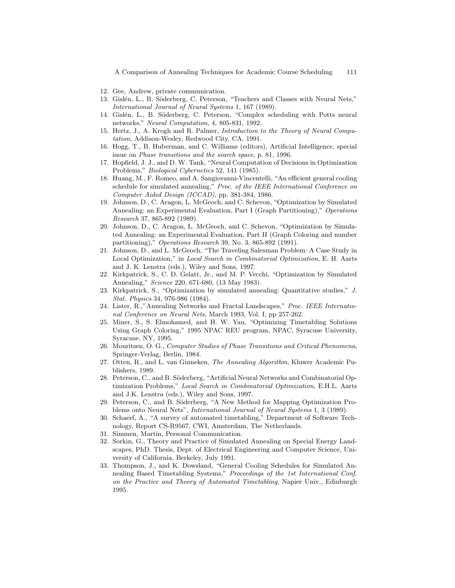- 12. Gee, Andrew, private communication.
- 13. Gislén, L., B. Söderberg, C. Peterson, "Teachers and Classes with Neural Nets," International Journal of Neural Systems 1, 167 (1989).
- 14. Gisl´en, L., B. S¨oderberg, C. Peterson, "Complex scheduling with Potts neural networks," Neural Computation, 4, 805-831, 1992.
- 15. Hertz, J., A. Krogh and R. Palmer, Introduction to the Theory of Neural Computation, Addison-Wesley, Redwood City, CA, 1991.
- 16. Hogg, T., B. Huberman, and C. Williams (editors), Artificial Intelligence, special issue on Phase transitions and the search space, p. 81, 1996.
- 17. Hopfield, J. J., and D. W. Tank, "Neural Computation of Decisions in Optimization Problems," Biological Cybernetics 52, 141 (1985).
- 18. Huang, M., F. Romeo, and A. Sangiovanni-Vincentelli, "An efficient general cooling schedule for simulated annealing," Proc. of the IEEE International Conference on Computer Aided Design (ICCAD), pp. 381-384, 1986.
- 19. Johnson, D., C. Aragon, L. McGeoch, and C. Schevon, "Optimization by Simulated Annealing: an Experimental Evaluation, Part I (Graph Partitioning)," Operations Research 37, 865-892 (1989).
- 20. Johnson, D., C. Aragon, L. McGeoch, and C. Schevon, "Optimization by Simulated Annealing: an Experimental Evaluation, Part II (Graph Coloring and number partitioning)," Operations Research 39, No. 3, 865-892 (1991).
- 21. Johnson, D., and L. McGeoch, "The Traveling Salesman Problem: A Case Study in Local Optimization," in Local Search in Combinatorial Optimization, E. H. Aarts and J. K. Lenstra (eds.), Wiley and Sons, 1997.
- 22. Kirkpatrick, S., C. D. Gelatt, Jr., and M. P. Vecchi, "Optimization by Simulated Annealing," Science 220, 671-680, (13 May 1983).
- 23. Kirkpatrick, S., "Optimization by simulated annealing: Quantitative studies," J. Stat. Physics 34, 976-986 (1984).
- 24. Lister, R.,"Annealing Networks and Fractal Landscapes," Proc. IEEE International Conference on Neural Nets, March 1993, Vol. I, pp 257-262.
- 25. Miner, S., S. Elmohamed, and H. W. Yau, "Optimizing Timetabling Solutions Using Graph Coloring," 1995 NPAC REU program, NPAC, Syracuse University, Syracuse, NY, 1995.
- 26. Mouritsen, O. G., Computer Studies of Phase Transitions and Critical Phenomena, Springer-Verlag, Berlin, 1984.
- 27. Otten, R., and L. van Ginneken, The Annealing Algorithm, Kluwer Academic Publishers, 1989.
- 28. Peterson, C., and B. Söderberg, "Artificial Neural Networks and Combinatorial Optimization Problems," Local Search in Combinatorial Optimization, E.H.L. Aarts and J.K. Lenstra (eds.), Wiley and Sons, 1997.
- 29. Peterson, C., and B. Söderberg, "A New Method for Mapping Optimization Problems onto Neural Nets", International Journal of Neural Systems 1, 3 (1989).
- 30. Schaerf, A., "A survey of automated timetabling," Department of Software Technology, Report CS-R9567, CWI, Amsterdam, The Netherlands.
- 31. Simmen, Martin, Personal Communication.
- 32. Sorkin, G., Theory and Practice of Simulated Annealing on Special Energy Landscapes, PhD. Thesis, Dept. of Electrical Engineering and Computer Science, University of California, Berkeley, July 1991.
- 33. Thompson, J., and K. Dowsland, "General Cooling Schedules for Simulated Annealing Based Timetabling Systems," Proceedings of the 1st International Conf. on the Practice and Theory of Automated Timetabling, Napier Univ., Edinburgh 1995.